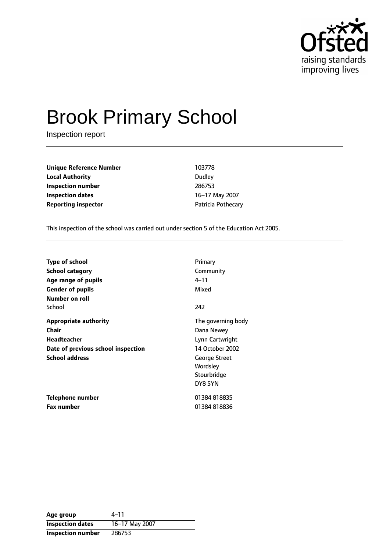

# Brook Primary School

Inspection report

**Unique Reference Number** 103778 **Local Authority** Dudley **Inspection number** 286753 **Inspection dates** 16-17 May 2007 **Reporting inspector CONFIDENTIFY PATRICIA POTHECALL** 

This inspection of the school was carried out under section 5 of the Education Act 2005.

| <b>Type of school</b>              | Primary              |
|------------------------------------|----------------------|
| <b>School category</b>             | Community            |
| Age range of pupils                | 4–11                 |
| <b>Gender of pupils</b>            | Mixed                |
| Number on roll                     |                      |
| School                             | 242                  |
| <b>Appropriate authority</b>       | The governing body   |
| Chair                              | Dana Newey           |
| Headteacher                        | Lynn Cartwright      |
| Date of previous school inspection | 14 October 2002      |
| <b>School address</b>              | <b>George Street</b> |
|                                    | Wordsley             |
|                                    | Stourbridge          |
|                                    | DY8 5YN              |
| <b>Telephone number</b>            | 01384818835          |
| <b>Fax number</b>                  | 01384818836          |

Age group 4-11 **Inspection dates** 16-17 May 2007 **Inspection number** 286753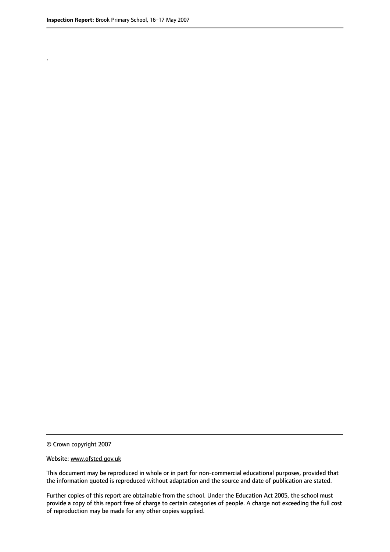.

© Crown copyright 2007

#### Website: www.ofsted.gov.uk

This document may be reproduced in whole or in part for non-commercial educational purposes, provided that the information quoted is reproduced without adaptation and the source and date of publication are stated.

Further copies of this report are obtainable from the school. Under the Education Act 2005, the school must provide a copy of this report free of charge to certain categories of people. A charge not exceeding the full cost of reproduction may be made for any other copies supplied.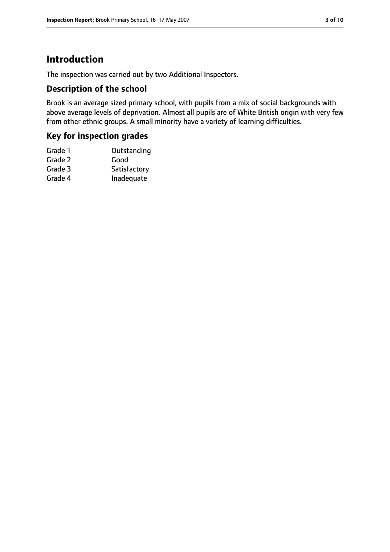## **Introduction**

The inspection was carried out by two Additional Inspectors.

#### **Description of the school**

Brook is an average sized primary school, with pupils from a mix of social backgrounds with above average levels of deprivation. Almost all pupils are of White British origin with very few from other ethnic groups. A small minority have a variety of learning difficulties.

#### **Key for inspection grades**

| Grade 1 | Outstanding  |
|---------|--------------|
| Grade 2 | Good         |
| Grade 3 | Satisfactory |
| Grade 4 | Inadequate   |
|         |              |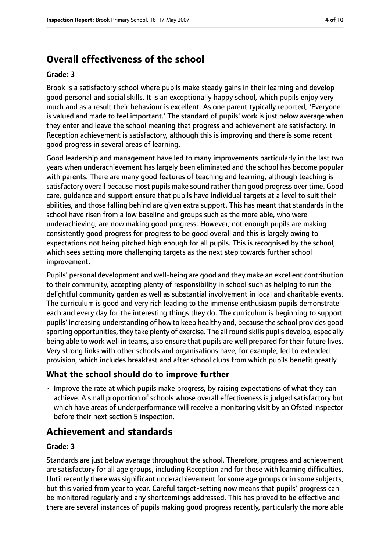## **Overall effectiveness of the school**

#### **Grade: 3**

Brook is a satisfactory school where pupils make steady gains in their learning and develop good personal and social skills. It is an exceptionally happy school, which pupils enjoy very much and as a result their behaviour is excellent. As one parent typically reported, 'Everyone is valued and made to feel important.' The standard of pupils' work is just below average when they enter and leave the school meaning that progress and achievement are satisfactory. In Reception achievement is satisfactory, although this is improving and there is some recent good progress in several areas of learning.

Good leadership and management have led to many improvements particularly in the last two years when underachievement has largely been eliminated and the school has become popular with parents. There are many good features of teaching and learning, although teaching is satisfactory overall because most pupils make sound rather than good progress over time. Good care, guidance and support ensure that pupils have individual targets at a level to suit their abilities, and those falling behind are given extra support. This has meant that standards in the school have risen from a low baseline and groups such as the more able, who were underachieving, are now making good progress. However, not enough pupils are making consistently good progress for progress to be good overall and this is largely owing to expectations not being pitched high enough for all pupils. This is recognised by the school, which sees setting more challenging targets as the next step towards further school improvement.

Pupils' personal development and well-being are good and they make an excellent contribution to their community, accepting plenty of responsibility in school such as helping to run the delightful community garden as well as substantial involvement in local and charitable events. The curriculum is good and very rich leading to the immense enthusiasm pupils demonstrate each and every day for the interesting things they do. The curriculum is beginning to support pupils' increasing understanding of how to keep healthy and, because the school provides good sporting opportunities, they take plenty of exercise. The all round skills pupils develop, especially being able to work well in teams, also ensure that pupils are well prepared for their future lives. Very strong links with other schools and organisations have, for example, led to extended provision, which includes breakfast and after school clubs from which pupils benefit greatly.

#### **What the school should do to improve further**

• Improve the rate at which pupils make progress, by raising expectations of what they can achieve. A small proportion of schools whose overall effectiveness is judged satisfactory but which have areas of underperformance will receive a monitoring visit by an Ofsted inspector before their next section 5 inspection.

## **Achievement and standards**

#### **Grade: 3**

Standards are just below average throughout the school. Therefore, progress and achievement are satisfactory for all age groups, including Reception and for those with learning difficulties. Until recently there was significant underachievement for some age groups or in some subjects, but this varied from year to year. Careful target-setting now means that pupils' progress can be monitored regularly and any shortcomings addressed. This has proved to be effective and there are several instances of pupils making good progress recently, particularly the more able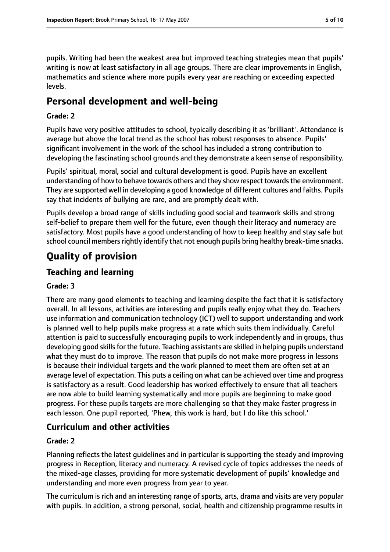pupils. Writing had been the weakest area but improved teaching strategies mean that pupils' writing is now at least satisfactory in all age groups. There are clear improvements in English, mathematics and science where more pupils every year are reaching or exceeding expected levels.

## **Personal development and well-being**

#### **Grade: 2**

Pupils have very positive attitudes to school, typically describing it as 'brilliant'. Attendance is average but above the local trend as the school has robust responses to absence. Pupils' significant involvement in the work of the school has included a strong contribution to developing the fascinating school grounds and they demonstrate a keen sense of responsibility.

Pupils' spiritual, moral, social and cultural development is good. Pupils have an excellent understanding of how to behave towards others and they show respect towards the environment. They are supported well in developing a good knowledge of different cultures and faiths. Pupils say that incidents of bullying are rare, and are promptly dealt with.

Pupils develop a broad range of skills including good social and teamwork skills and strong self-belief to prepare them well for the future, even though their literacy and numeracy are satisfactory. Most pupils have a good understanding of how to keep healthy and stay safe but school council members rightly identify that not enough pupils bring healthy break-time snacks.

## **Quality of provision**

#### **Teaching and learning**

#### **Grade: 3**

There are many good elements to teaching and learning despite the fact that it is satisfactory overall. In all lessons, activities are interesting and pupils really enjoy what they do. Teachers use information and communication technology (ICT) well to support understanding and work is planned well to help pupils make progress at a rate which suits them individually. Careful attention is paid to successfully encouraging pupils to work independently and in groups, thus developing good skills for the future. Teaching assistants are skilled in helping pupils understand what they must do to improve. The reason that pupils do not make more progress in lessons is because their individual targets and the work planned to meet them are often set at an average level of expectation. This puts a ceiling on what can be achieved over time and progress is satisfactory as a result. Good leadership has worked effectively to ensure that all teachers are now able to build learning systematically and more pupils are beginning to make good progress. For these pupils targets are more challenging so that they make faster progress in each lesson. One pupil reported, 'Phew, this work is hard, but I do like this school.'

## **Curriculum and other activities**

#### **Grade: 2**

Planning reflects the latest guidelines and in particular is supporting the steady and improving progress in Reception, literacy and numeracy. A revised cycle of topics addresses the needs of the mixed-age classes, providing for more systematic development of pupils' knowledge and understanding and more even progress from year to year.

The curriculum is rich and an interesting range of sports, arts, drama and visits are very popular with pupils. In addition, a strong personal, social, health and citizenship programme results in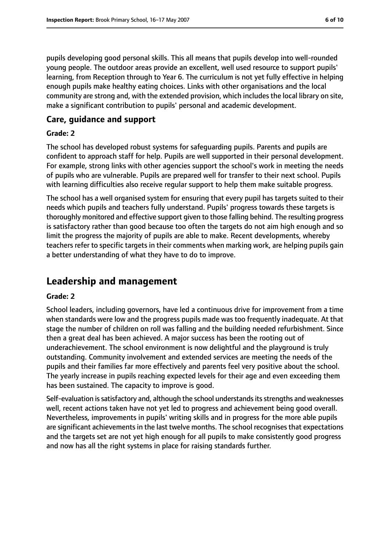pupils developing good personal skills. This all means that pupils develop into well-rounded young people. The outdoor areas provide an excellent, well used resource to support pupils' learning, from Reception through to Year 6. The curriculum is not yet fully effective in helping enough pupils make healthy eating choices. Links with other organisations and the local community are strong and, with the extended provision, which includes the local library on site, make a significant contribution to pupils' personal and academic development.

#### **Care, guidance and support**

#### **Grade: 2**

The school has developed robust systems for safeguarding pupils. Parents and pupils are confident to approach staff for help. Pupils are well supported in their personal development. For example, strong links with other agencies support the school's work in meeting the needs of pupils who are vulnerable. Pupils are prepared well for transfer to their next school. Pupils with learning difficulties also receive regular support to help them make suitable progress.

The school has a well organised system for ensuring that every pupil has targets suited to their needs which pupils and teachers fully understand. Pupils' progress towards these targets is thoroughly monitored and effective support given to those falling behind. The resulting progress is satisfactory rather than good because too often the targets do not aim high enough and so limit the progress the majority of pupils are able to make. Recent developments, whereby teachers refer to specific targets in their comments when marking work, are helping pupils gain a better understanding of what they have to do to improve.

## **Leadership and management**

#### **Grade: 2**

School leaders, including governors, have led a continuous drive for improvement from a time when standards were low and the progress pupils made was too frequently inadequate. At that stage the number of children on roll was falling and the building needed refurbishment. Since then a great deal has been achieved. A major success has been the rooting out of underachievement. The school environment is now delightful and the playground is truly outstanding. Community involvement and extended services are meeting the needs of the pupils and their families far more effectively and parents feel very positive about the school. The yearly increase in pupils reaching expected levels for their age and even exceeding them has been sustained. The capacity to improve is good.

Self-evaluation is satisfactory and, although the school understands its strengths and weaknesses well, recent actions taken have not yet led to progress and achievement being good overall. Nevertheless, improvements in pupils' writing skills and in progress for the more able pupils are significant achievements in the last twelve months. The school recognises that expectations and the targets set are not yet high enough for all pupils to make consistently good progress and now has all the right systems in place for raising standards further.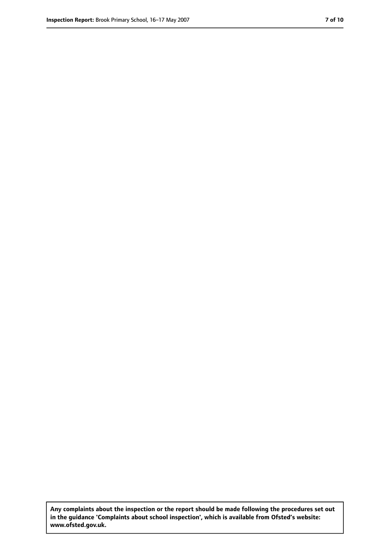**Any complaints about the inspection or the report should be made following the procedures set out in the guidance 'Complaints about school inspection', which is available from Ofsted's website: www.ofsted.gov.uk.**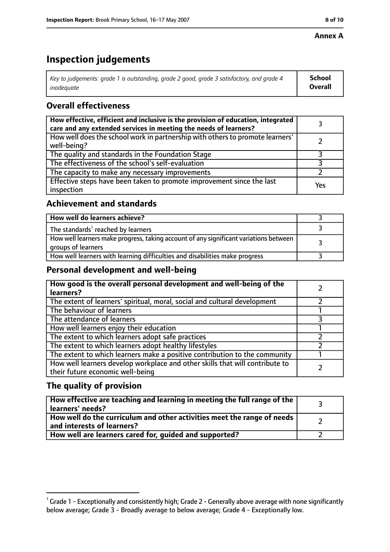#### **Annex A**

# **Inspection judgements**

| Key to judgements: grade 1 is outstanding, grade 2 good, grade 3 satisfactory, and grade 4 | <b>School</b>  |
|--------------------------------------------------------------------------------------------|----------------|
| inadeauate                                                                                 | <b>Overall</b> |

## **Overall effectiveness**

| How effective, efficient and inclusive is the provision of education, integrated<br>care and any extended services in meeting the needs of learners? |     |
|------------------------------------------------------------------------------------------------------------------------------------------------------|-----|
| How well does the school work in partnership with others to promote learners'<br>well-being?                                                         |     |
| The quality and standards in the Foundation Stage                                                                                                    |     |
| The effectiveness of the school's self-evaluation                                                                                                    |     |
| The capacity to make any necessary improvements                                                                                                      |     |
| Effective steps have been taken to promote improvement since the last<br>inspection                                                                  | Yes |

## **Achievement and standards**

| How well do learners achieve?                                                                               |  |
|-------------------------------------------------------------------------------------------------------------|--|
| The standards <sup>1</sup> reached by learners                                                              |  |
| How well learners make progress, taking account of any significant variations between<br>groups of learners |  |
| How well learners with learning difficulties and disabilities make progress                                 |  |

#### **Personal development and well-being**

| How good is the overall personal development and well-being of the<br>learners?                                  |  |
|------------------------------------------------------------------------------------------------------------------|--|
| The extent of learners' spiritual, moral, social and cultural development                                        |  |
| The behaviour of learners                                                                                        |  |
| The attendance of learners                                                                                       |  |
| How well learners enjoy their education                                                                          |  |
| The extent to which learners adopt safe practices                                                                |  |
| The extent to which learners adopt healthy lifestyles                                                            |  |
| The extent to which learners make a positive contribution to the community                                       |  |
| How well learners develop workplace and other skills that will contribute to<br>their future economic well-being |  |

## **The quality of provision**

| How effective are teaching and learning in meeting the full range of the<br>learners' needs?          |  |
|-------------------------------------------------------------------------------------------------------|--|
| How well do the curriculum and other activities meet the range of needs<br>and interests of learners? |  |
| How well are learners cared for, quided and supported?                                                |  |

 $^1$  Grade 1 - Exceptionally and consistently high; Grade 2 - Generally above average with none significantly below average; Grade 3 - Broadly average to below average; Grade 4 - Exceptionally low.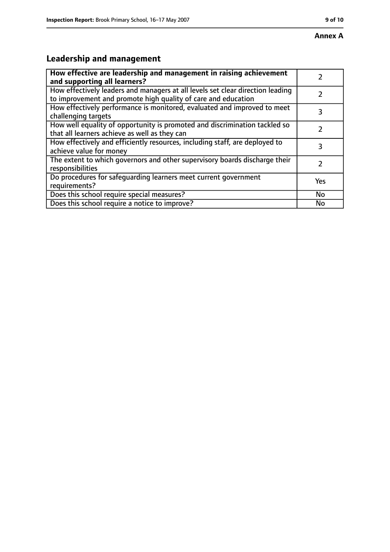# **Leadership and management**

| How effective are leadership and management in raising achievement<br>and supporting all learners?                                              |               |
|-------------------------------------------------------------------------------------------------------------------------------------------------|---------------|
| How effectively leaders and managers at all levels set clear direction leading<br>to improvement and promote high quality of care and education |               |
| How effectively performance is monitored, evaluated and improved to meet<br>challenging targets                                                 | 3             |
| How well equality of opportunity is promoted and discrimination tackled so<br>that all learners achieve as well as they can                     |               |
| How effectively and efficiently resources, including staff, are deployed to<br>achieve value for money                                          | 3             |
| The extent to which governors and other supervisory boards discharge their<br>responsibilities                                                  | $\mathcal{L}$ |
| Do procedures for safequarding learners meet current government<br>requirements?                                                                | Yes           |
| Does this school require special measures?                                                                                                      | No            |
| Does this school require a notice to improve?                                                                                                   | No            |